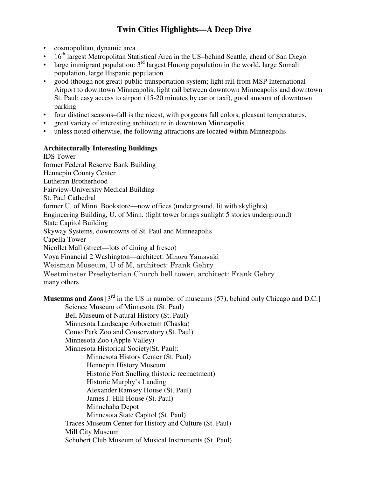# **Twin Cities Highlights—A Deep Dive**

- cosmopolitan, dynamic area
- $16<sup>th</sup>$  largest Metropolitan Statistical Area in the US-behind Seattle, ahead of San Diego
- large immigrant population:  $3<sup>rd</sup>$  largest Hmong population in the world, large Somali population, large Hispanic population
- good (though not great) public transportation system; light rail from MSP International Airport to downtown Minneapolis, light rail between downtown Minneapolis and downtown St. Paul; easy access to airport (15-20 minutes by car or taxi), good amount of downtown parking
- four distinct seasons–fall is the nicest, with gorgeous fall colors, pleasant temperatures.
- great variety of interesting architecture in downtown Minneapolis
- unless noted otherwise, the following attractions are located within Minneapolis

#### **Architecturally Interesting Buildings**

IDS Tower former Federal Reserve Bank Building Hennepin County Center Lutheran Brotherhood Fairview-University Medical Building St. Paul Cathedral former U. of Minn. Bookstore—now offices (underground, lit with skylights) Engineering Building, U. of Minn. (light tower brings sunlight 5 stories underground) State Capitol Building Skyway Systems, downtowns of St. Paul and Minneapolis Capella Tower Nicollet Mall (street—lots of dining al fresco) Voya Financial 2 Washington—architect: Minoru Yamasaki Weisman Museum, U of M, architect: Frank Gehry Westminster Presbyterian Church bell tower, architect: Frank Gehry many others

**Museums and Zoos** [3<sup>rd</sup> in the US in number of museums (57), behind only Chicago and D.C.] Science Museum of Minnesota (St. Paul) Bell Museum of Natural History (St. Paul) Minnesota Landscape Arboretum (Chaska) Como Park Zoo and Conservatory (St. Paul) Minnesota Zoo (Apple Valley) Minnesota Historical Society(St. Paul): Minnesota History Center (St. Paul) Hennepin History Museum Historic Fort Snelling (historic reenactment) Historic Murphy's Landing Alexander Ramsey House (St. Paul) James J. Hill House (St. Paul) Minnehaha Depot Minnesota State Capitol (St. Paul) Traces Museum Center for History and Culture (St. Paul) Mill City Museum Schubert Club Museum of Musical Instruments (St. Paul)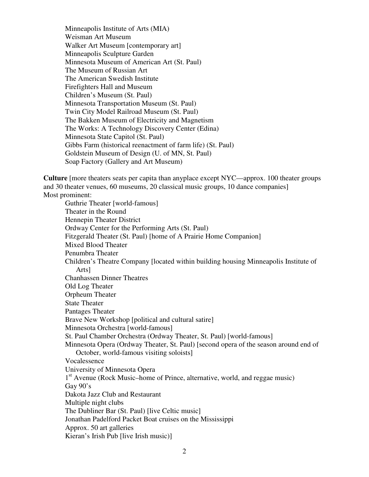Minneapolis Institute of Arts (MIA) Weisman Art Museum Walker Art Museum [contemporary art] Minneapolis Sculpture Garden Minnesota Museum of American Art (St. Paul) The Museum of Russian Art The American Swedish Institute Firefighters Hall and Museum Children's Museum (St. Paul) Minnesota Transportation Museum (St. Paul) Twin City Model Railroad Museum (St. Paul) The Bakken Museum of Electricity and Magnetism The Works: A Technology Discovery Center (Edina) Minnesota State Capitol (St. Paul) Gibbs Farm (historical reenactment of farm life) (St. Paul) Goldstein Museum of Design (U. of MN, St. Paul) Soap Factory (Gallery and Art Museum)

**Culture** [more theaters seats per capita than anyplace except NYC—approx. 100 theater groups and 30 theater venues, 60 museums, 20 classical music groups, 10 dance companies] Most prominent:

Guthrie Theater [world-famous] Theater in the Round Hennepin Theater District Ordway Center for the Performing Arts (St. Paul) Fitzgerald Theater (St. Paul) [home of A Prairie Home Companion] Mixed Blood Theater Penumbra Theater Children's Theatre Company [located within building housing Minneapolis Institute of Arts] Chanhassen Dinner Theatres Old Log Theater Orpheum Theater State Theater Pantages Theater Brave New Workshop [political and cultural satire] Minnesota Orchestra [world-famous] St. Paul Chamber Orchestra (Ordway Theater, St. Paul) [world-famous] Minnesota Opera (Ordway Theater, St. Paul) [second opera of the season around end of October, world-famous visiting soloists] Vocalessence University of Minnesota Opera 1<sup>st</sup> Avenue (Rock Music–home of Prince, alternative, world, and reggae music) Gay  $90's$ Dakota Jazz Club and Restaurant Multiple night clubs The Dubliner Bar (St. Paul) [live Celtic music] Jonathan Padelford Packet Boat cruises on the Mississippi Approx. 50 art galleries Kieran's Irish Pub [live Irish music)]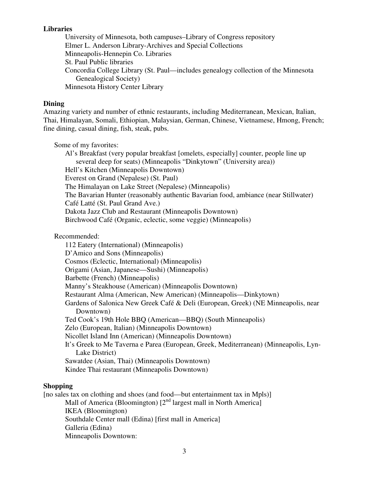### **Libraries**

University of Minnesota, both campuses–Library of Congress repository Elmer L. Anderson Library-Archives and Special Collections Minneapolis-Hennepin Co. Libraries St. Paul Public libraries Concordia College Library (St. Paul—includes genealogy collection of the Minnesota Genealogical Society) Minnesota History Center Library

#### **Dining**

Amazing variety and number of ethnic restaurants, including Mediterranean, Mexican, Italian, Thai, Himalayan, Somali, Ethiopian, Malaysian, German, Chinese, Vietnamese, Hmong, French; fine dining, casual dining, fish, steak, pubs.

Some of my favorites: Al's Breakfast (very popular breakfast [omelets, especially] counter, people line up several deep for seats) (Minneapolis "Dinkytown" (University area)) Hell's Kitchen (Minneapolis Downtown) Everest on Grand (Nepalese) (St. Paul) The Himalayan on Lake Street (Nepalese) (Minneapolis) The Bavarian Hunter (reasonably authentic Bavarian food, ambiance (near Stillwater) Café Latté (St. Paul Grand Ave.) Dakota Jazz Club and Restaurant (Minneapolis Downtown) Birchwood Café (Organic, eclectic, some veggie) (Minneapolis)

Recommended:

112 Eatery (International) (Minneapolis) D'Amico and Sons (Minneapolis) Cosmos (Eclectic, International) (Minneapolis) Origami (Asian, Japanese—Sushi) (Minneapolis) Barbette (French) (Minneapolis) Manny's Steakhouse (American) (Minneapolis Downtown) Restaurant Alma (American, New American) (Minneapolis—Dinkytown) Gardens of Salonica New Greek Café & Deli (European, Greek) (NE Minneapolis, near Downtown) Ted Cook's 19th Hole BBQ (American—BBQ) (South Minneapolis) Zelo (European, Italian) (Minneapolis Downtown) Nicollet Island Inn (American) (Minneapolis Downtown) It's Greek to Me Taverna e Parea (European, Greek, Mediterranean) (Minneapolis, Lyn-Lake District) Sawatdee (Asian, Thai) (Minneapolis Downtown) Kindee Thai restaurant (Minneapolis Downtown)

#### **Shopping**

[no sales tax on clothing and shoes (and food—but entertainment tax in Mpls)] Mall of America (Bloomington)  $[2^{nd}$  largest mall in North America] IKEA (Bloomington) Southdale Center mall (Edina) [first mall in America] Galleria (Edina) Minneapolis Downtown: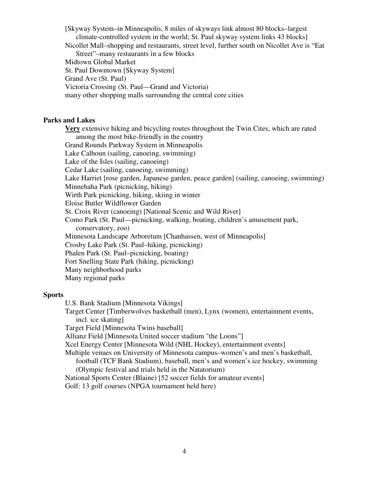[Skyway System–in Minneapolis, 8 miles of skyways link almost 80 blocks–largest climate-controlled system in the world; St. Paul skyway system links 43 blocks] Nicollet Mall–shopping and restaurants, street level, further south on Nicollet Ave is "Eat Street"–many restaurants in a few blocks Midtown Global Market St. Paul Downtown [Skyway System] Grand Ave (St. Paul) Victoria Crossing (St. Paul—Grand and Victoria)

many other shopping malls surrounding the central core cities

## **Parks and Lakes**

**Very** extensive hiking and bicycling routes throughout the Twin Cites, which are rated among the most bike-friendly in the country Grand Rounds Parkway System in Minneapolis Lake Calhoun (sailing, canoeing, swimming) Lake of the Isles (sailing, canoeing) Cedar Lake (sailing, canoeing, swimming) Lake Harriet [rose garden, Japanese garden, peace garden] (sailing, canoeing, swimming) Minnehaha Park (picnicking, hiking) Wirth Park picnicking, hiking, skiing in winter Eloise Butler Wildflower Garden St. Croix River (canoeing) [National Scenic and Wild River] Como Park (St. Paul—picnicking, walking, boating, children's amusement park, conservatory, zoo) Minnesota Landscape Arboretum [Chanhassen, west of Minneapolis] Crosby Lake Park (St. Paul–hiking, picnicking) Phalen Park (St. Paul–picnicking, boating) Fort Snelling State Park (hiking, picnicking) Many neighborhood parks Many regional parks

#### **Sports**

U.S. Bank Stadium [Minnesota Vikings]

Target Center [Timberwolves basketball (men), Lynx (women), entertainment events, incl. ice skating]

Target Field [Minnesota Twins baseball]

Allianz Field [Minnesota United soccer stadium "the Loons"]

Xcel Energy Center [Minnesota Wild (NHL Hockey), entertainment events]

Multiple venues on University of Minnesota campus–women's and men's basketball,

football (TCF Bank Stadium), baseball, men's and women's ice hockey, swimming (Olympic festival and trials held in the Natatorium)

National Sports Center (Blaine) [52 soccer fields for amateur events] Golf: 13 golf courses (NPGA tournament held here)